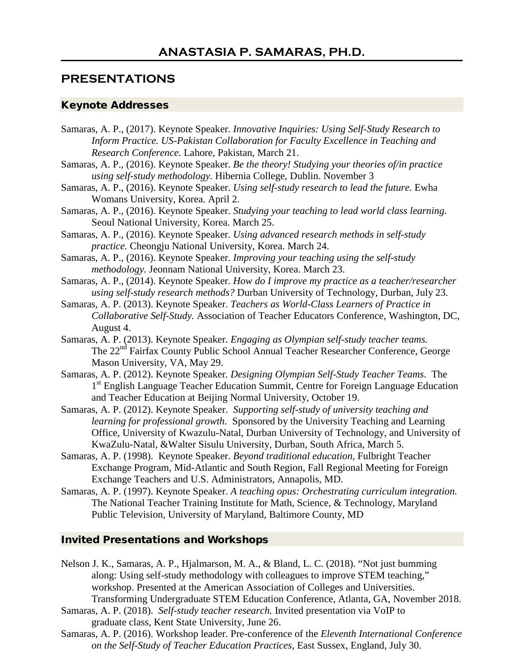## **PRESENTATIONS**

## Keynote Addresses

Samaras, A. P., (2017). Keynote Speaker. *Innovative Inquiries: Using Self-Study Research to Inform Practice. US-Pakistan Collaboration for Faculty Excellence in Teaching and Research Conference.* Lahore, Pakistan, March 21. Samaras, A. P., (2016). Keynote Speaker. *Be the theory! Studying your theories of/in practice using self-study methodology.* Hibernia College, Dublin. November 3 Samaras, A. P., (2016). Keynote Speaker. *Using self-study research to lead the future.* Ewha Womans University, Korea. April 2. Samaras, A. P., (2016). Keynote Speaker. *Studying your teaching to lead world class learning.*  Seoul National University, Korea. March 25. Samaras, A. P., (2016). Keynote Speaker. *Using advanced research methods in self-study practice.* Cheongju National University, Korea. March 24. Samaras, A. P., (2016). Keynote Speaker. *Improving your teaching using the self-study methodology.* Jeonnam National University, Korea. March 23. Samaras, A. P., (2014). Keynote Speaker. *How do I improve my practice as a teacher/researcher using self-study research methods?* Durban University of Technology, Durban, July 23. Samaras, A. P. (2013). Keynote Speaker. *Teachers as World-Class Learners of Practice in Collaborative Self-Study.* Association of Teacher Educators Conference, Washington, DC, August 4. Samaras, A. P. (2013). Keynote Speaker. *Engaging as Olympian self-study teacher teams.* The 22nd Fairfax County Public School Annual Teacher Researcher Conference, George Mason University, VA, May 29. Samaras, A. P. (2012). Keynote Speaker*. Designing Olympian Self-Study Teacher Teams*. The 1<sup>st</sup> English Language Teacher Education Summit, Centre for Foreign Language Education and Teacher Education at Beijing Normal University, October 19. Samaras, A. P. (2012). Keynote Speaker. *Supporting self-study of university teaching and learning for professional growth.* Sponsored by the University Teaching and Learning Office, University of Kwazulu-Natal, Durban University of Technology, and University of KwaZulu-Natal, &Walter Sisulu University, Durban, South Africa, March 5. Samaras, A. P. (1998). Keynote Speaker. *Beyond traditional education,* Fulbright Teacher Exchange Program, Mid-Atlantic and South Region, Fall Regional Meeting for Foreign

Exchange Teachers and U.S. Administrators, Annapolis, MD.

Samaras, A. P. (1997). Keynote Speaker. *A teaching opus: Orchestrating curriculum integration.*  The National Teacher Training Institute for Math, Science, & Technology, Maryland Public Television, University of Maryland, Baltimore County, MD

## Invited Presentations and Workshops

- Nelson J. K., Samaras, A. P., Hjalmarson, M. A., & Bland, L. C. (2018). "Not just bumming along: Using self-study methodology with colleagues to improve STEM teaching," workshop. Presented at the American Association of Colleges and Universities. Transforming Undergraduate STEM Education Conference, Atlanta, GA, November 2018.
- Samaras, A. P. (2018). *Self-study teacher research.* Invited presentation via VoIP to graduate class, Kent State University, June 26.
- Samaras, A. P. (2016). Workshop leader. Pre-conference of the *Eleventh International Conference on the Self-Study of Teacher Education Practices*, East Sussex, England, July 30.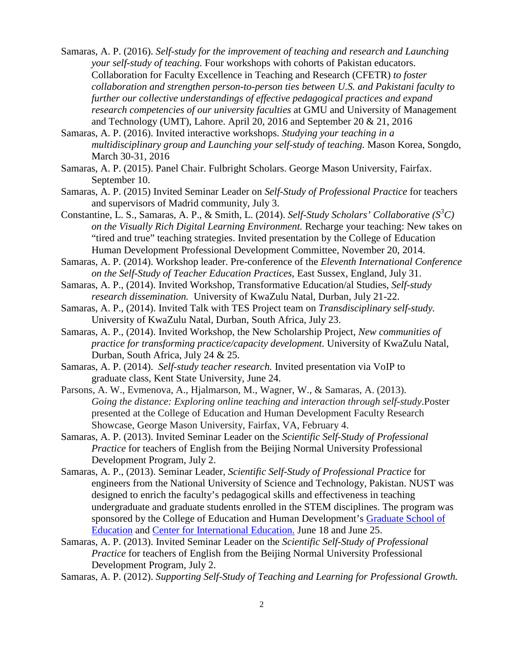- Samaras, A. P. (2016). *Self-study for the improvement of teaching and research and Launching your self-study of teaching.* Four workshops with cohorts of Pakistan educators. Collaboration for Faculty Excellence in Teaching and Research (CFETR) *to foster collaboration and strengthen person-to-person ties between U.S. and Pakistani faculty to further our collective understandings of effective pedagogical practices and expand research competencies of our university faculties* at GMU and University of Management and Technology (UMT), Lahore. April 20, 2016 and September 20 & 21, 2016
- Samaras, A. P. (2016). Invited interactive workshops. *Studying your teaching in a multidisciplinary group and Launching your self-study of teaching.* Mason Korea, Songdo, March 30-31, 2016
- Samaras, A. P. (2015). Panel Chair. Fulbright Scholars. George Mason University, Fairfax. September 10.
- Samaras, A. P. (2015) Invited Seminar Leader on *Self-Study of Professional Practice* for teachers and supervisors of Madrid community, July 3.
- Constantine, L. S., Samaras, A. P., & Smith, L. (2014). *Self-Study Scholars' Collaborative (S<sup>3</sup> C) on the Visually Rich Digital Learning Environment.* Recharge your teaching: New takes on "tired and true" teaching strategies. Invited presentation by the College of Education Human Development Professional Development Committee, November 20, 2014.

Samaras, A. P. (2014). Workshop leader. Pre-conference of the *Eleventh International Conference on the Self-Study of Teacher Education Practices*, East Sussex, England, July 31.

- Samaras, A. P., (2014). Invited Workshop, Transformative Education/al Studies, *Self-study research dissemination.* University of KwaZulu Natal, Durban, July 21-22.
- Samaras, A. P., (2014). Invited Talk with TES Project team on *Transdisciplinary self-study.* University of KwaZulu Natal, Durban, South Africa, July 23.
- Samaras, A. P., (2014). Invited Workshop, the New Scholarship Project, *New communities of practice for transforming practice/capacity development.* University of KwaZulu Natal, Durban, South Africa, July 24 & 25.
- Samaras, A. P. (2014). *Self-study teacher research.* Invited presentation via VoIP to graduate class, Kent State University, June 24.
- Parsons, A. W., Evmenova, A., Hjalmarson, M., Wagner, W., & Samaras, A. (2013). *Going the distance: Exploring online teaching and interaction through self-study*.Poster presented at the College of Education and Human Development Faculty Research Showcase, George Mason University, Fairfax, VA, February 4.
- Samaras, A. P. (2013). Invited Seminar Leader on the *Scientific Self-Study of Professional Practice* for teachers of English from the Beijing Normal University Professional Development Program, July 2.
- Samaras, A. P., (2013). Seminar Leader, *Scientific Self-Study of Professional Practice* for engineers from the National University of Science and Technology, Pakistan. NUST was designed to enrich the faculty's pedagogical skills and effectiveness in teaching undergraduate and graduate students enrolled in the STEM disciplines. The program was sponsored by the College of Education and Human Development's [Graduate School of](http://gse.gmu.edu/)  [Education](http://gse.gmu.edu/) and [Center for International Education.](http://cehd.gmu.edu/centers/cie/) June 18 and June 25.
- Samaras, A. P. (2013). Invited Seminar Leader on the *Scientific Self-Study of Professional Practice* for teachers of English from the Beijing Normal University Professional Development Program, July 2.
- Samaras, A. P. (2012). *Supporting Self-Study of Teaching and Learning for Professional Growth.*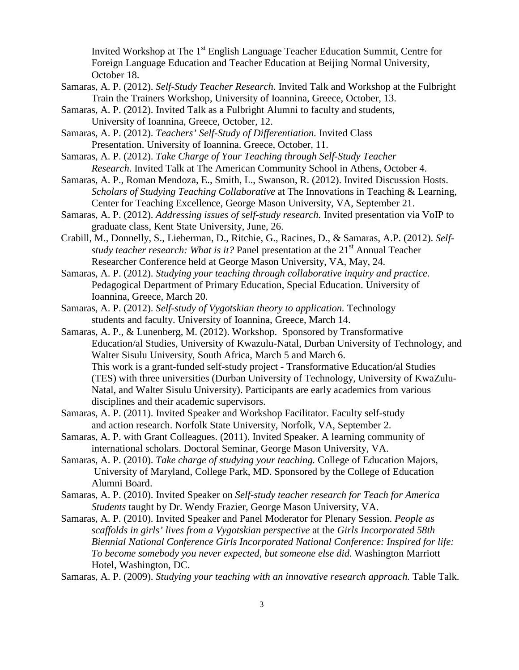Invited Workshop at The  $1<sup>st</sup>$  English Language Teacher Education Summit, Centre for Foreign Language Education and Teacher Education at Beijing Normal University, October 18.

- Samaras, A. P. (2012). *Self-Study Teacher Research*. Invited Talk and Workshop at the Fulbright Train the Trainers Workshop, University of Ioannina, Greece, October, 13.
- Samaras, A. P. (2012). Invited Talk as a Fulbright Alumni to faculty and students, University of Ioannina, Greece, October, 12.
- Samaras, A. P. (2012). *Teachers' Self-Study of Differentiation.* Invited Class Presentation. University of Ioannina. Greece, October, 11.
- Samaras, A. P. (2012). *Take Charge of Your Teaching through Self-Study Teacher Research*. Invited Talk at The American Community School in Athens, October 4.
- Samaras, A. P., Roman Mendoza, E., Smith, L., Swanson, R. (2012). Invited Discussion Hosts. *Scholars of Studying Teaching Collaborative* at The Innovations in Teaching & Learning, Center for Teaching Excellence, George Mason University, VA, September 21.
- Samaras, A. P. (2012). *Addressing issues of self-study research.* Invited presentation via VoIP to graduate class, Kent State University, June, 26.
- Crabill, M., Donnelly, S., Lieberman, D., Ritchie, G., Racines, D., & Samaras, A.P. (2012). *Selfstudy teacher research: What is it?* Panel presentation at the 21<sup>st</sup> Annual Teacher Researcher Conference held at George Mason University, VA, May, 24.
- Samaras, A. P. (2012). *Studying your teaching through collaborative inquiry and practice.*  Pedagogical Department of Primary Education, Special Education. University of Ioannina, Greece, March 20.

Samaras, A. P. (2012). *Self-study of Vygotskian theory to application.* Technology students and faculty. University of Ioannina, Greece, March 14.

Samaras, A. P., & Lunenberg, M. (2012). Workshop. Sponsored by Transformative Education/al Studies, University of Kwazulu-Natal, Durban University of Technology, and Walter Sisulu University, South Africa, March 5 and March 6. This work is a grant-funded self-study project - Transformative Education/al Studies (TES) with three universities (Durban University of Technology, University of KwaZulu-Natal, and Walter Sisulu University). Participants are early academics from various disciplines and their academic supervisors.

- Samaras, A. P. (2011). Invited Speaker and Workshop Facilitator. Faculty self-study and action research. Norfolk State University, Norfolk, VA, September 2.
- Samaras, A. P. with Grant Colleagues. (2011). Invited Speaker. A learning community of international scholars. Doctoral Seminar, George Mason University, VA.
- Samaras, A. P. (2010). *Take charge of studying your teaching.* College of Education Majors, University of Maryland, College Park, MD. Sponsored by the College of Education Alumni Board.
- Samaras, A. P. (2010). Invited Speaker on *Self-study teacher research for Teach for America Students* taught by Dr. Wendy Frazier, George Mason University, VA.
- Samaras, A. P. (2010). Invited Speaker and Panel Moderator for Plenary Session. *People as scaffolds in girls' lives from a Vygotskian perspective* at the *Girls Incorporated 58th Biennial National Conference Girls Incorporated National Conference: Inspired for life: To become somebody you never expected, but someone else did.* Washington Marriott Hotel, Washington, DC.

Samaras, A. P. (2009). *Studying your teaching with an innovative research approach.* Table Talk.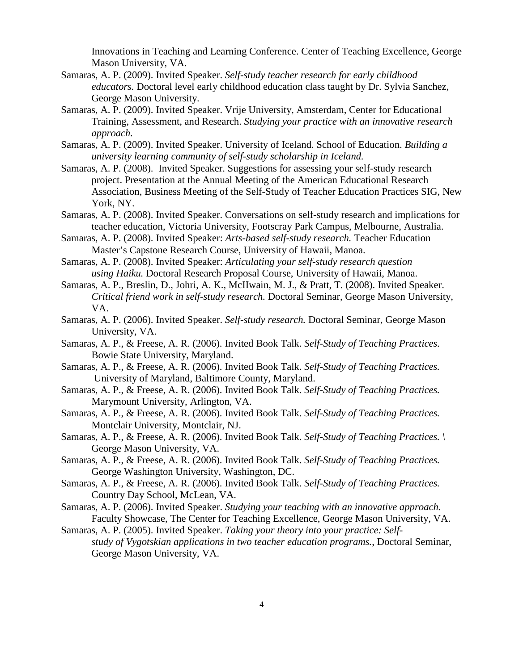Innovations in Teaching and Learning Conference. Center of Teaching Excellence, George Mason University, VA.

- Samaras, A. P. (2009). Invited Speaker. *Self-study teacher research for early childhood educators.* Doctoral level early childhood education class taught by Dr. Sylvia Sanchez, George Mason University.
- Samaras, A. P. (2009). Invited Speaker. Vrije University, Amsterdam, Center for Educational Training, Assessment, and Research. *Studying your practice with an innovative research approach.*
- Samaras, A. P. (2009). Invited Speaker. University of Iceland. School of Education. *Building a university learning community of self-study scholarship in Iceland.*
- Samaras, A. P. (2008). Invited Speaker. Suggestions for assessing your self-study research project. Presentation at the Annual Meeting of the American Educational Research Association, Business Meeting of the Self-Study of Teacher Education Practices SIG, New York, NY.
- Samaras, A. P. (2008). Invited Speaker. Conversations on self-study research and implications for teacher education, Victoria University, Footscray Park Campus, Melbourne, Australia.
- Samaras, A. P. (2008). Invited Speaker: *Arts-based self-study research.* Teacher Education Master's Capstone Research Course, University of Hawaii, Manoa.
- Samaras, A. P. (2008). Invited Speaker: *Articulating your self-study research question using Haiku.* Doctoral Research Proposal Course, University of Hawaii, Manoa.
- Samaras, A. P., Breslin, D., Johri, A. K., McIIwain, M. J., & Pratt, T. (2008). Invited Speaker. *Critical friend work in self-study research.* Doctoral Seminar, George Mason University, VA.
- Samaras, A. P. (2006). Invited Speaker. *Self-study research.* Doctoral Seminar, George Mason University, VA.
- Samaras, A. P., & Freese, A. R. (2006). Invited Book Talk. *Self-Study of Teaching Practices.*  Bowie State University, Maryland.
- Samaras, A. P., & Freese, A. R. (2006). Invited Book Talk. *Self-Study of Teaching Practices.* University of Maryland, Baltimore County, Maryland.
- Samaras, A. P., & Freese, A. R. (2006). Invited Book Talk. *Self-Study of Teaching Practices.*  Marymount University, Arlington, VA.
- Samaras, A. P., & Freese, A. R. (2006). Invited Book Talk. *Self-Study of Teaching Practices.*  Montclair University, Montclair, NJ.
- Samaras, A. P., & Freese, A. R. (2006). Invited Book Talk. *Self-Study of Teaching Practices. \* George Mason University, VA.
- Samaras, A. P., & Freese, A. R. (2006). Invited Book Talk. *Self-Study of Teaching Practices.*  George Washington University, Washington, DC.
- Samaras, A. P., & Freese, A. R. (2006). Invited Book Talk. *Self-Study of Teaching Practices.*  Country Day School, McLean, VA.
- Samaras, A. P. (2006). Invited Speaker. *Studying your teaching with an innovative approach.* Faculty Showcase, The Center for Teaching Excellence, George Mason University, VA.
- Samaras, A. P. (2005). Invited Speaker. *Taking your theory into your practice: Selfstudy of Vygotskian applications in two teacher education programs.*, Doctoral Seminar, George Mason University, VA.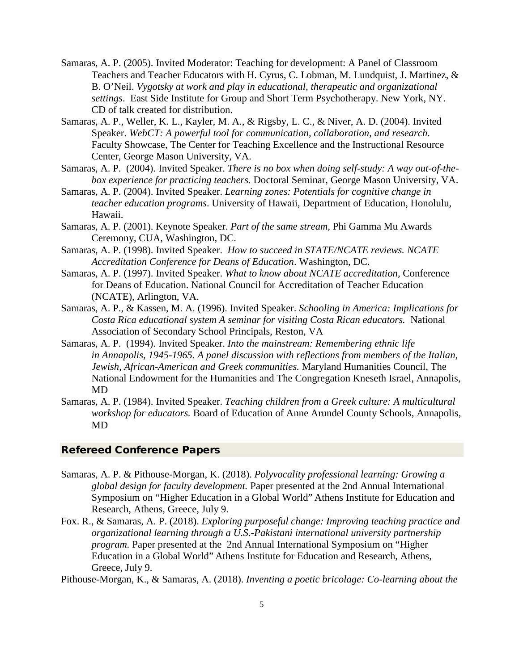- Samaras, A. P. (2005). Invited Moderator: Teaching for development: A Panel of Classroom Teachers and Teacher Educators with H. Cyrus, C. Lobman, M. Lundquist, J. Martinez, & B. O'Neil. *Vygotsky at work and play in educational, therapeutic and organizational settings*. East Side Institute for Group and Short Term Psychotherapy. New York, NY. CD of talk created for distribution.
- Samaras, A. P., Weller, K. L., Kayler, M. A., & Rigsby, L. C., & Niver, A. D. (2004). Invited Speaker. *WebCT: A powerful tool for communication, collaboration, and research*. Faculty Showcase, The Center for Teaching Excellence and the Instructional Resource Center, George Mason University, VA.
- Samaras, A. P. (2004). Invited Speaker. *There is no box when doing self-study: A way out-of-thebox experience for practicing teachers.* Doctoral Seminar, George Mason University, VA.
- Samaras, A. P. (2004). Invited Speaker. *Learning zones: Potentials for cognitive change in teacher education programs*. University of Hawaii, Department of Education, Honolulu, Hawaii.
- Samaras, A. P. (2001). Keynote Speaker. *Part of the same stream,* Phi Gamma Mu Awards Ceremony, CUA, Washington, DC.
- Samaras, A. P. (1998). Invited Speaker. *How to succeed in STATE/NCATE reviews. NCATE Accreditation Conference for Deans of Education*. Washington, DC.
- Samaras, A. P. (1997). Invited Speaker. *What to know about NCATE accreditation,* Conference for Deans of Education. National Council for Accreditation of Teacher Education (NCATE), Arlington, VA.
- Samaras, A. P., & Kassen, M. A. (1996). Invited Speaker. *Schooling in America: Implications for Costa Rica educational system A seminar for visiting Costa Rican educators.* National Association of Secondary School Principals, Reston, VA
- Samaras, A. P. (1994). Invited Speaker. *Into the mainstream: Remembering ethnic life in Annapolis, 1945-1965. A panel discussion with reflections from members of the Italian, Jewish, African-American and Greek communities.* Maryland Humanities Council, The National Endowment for the Humanities and The Congregation Kneseth Israel, Annapolis, MD
- Samaras, A. P. (1984). Invited Speaker. *Teaching children from a Greek culture: A multicultural workshop for educators.* Board of Education of Anne Arundel County Schools, Annapolis, MD

## Refereed Conference Papers

- Samaras, A. P. & Pithouse-Morgan, K. (2018). *Polyvocality professional learning: Growing a global design for faculty development.* Paper presented at the [2nd Annual International](https://www.atiner.gr/coledu)  [Symposium on "Higher Education in a Global World"](https://www.atiner.gr/coledu) [Athens Institute for Education and](http://www.atiner.gr/)  [Research,](http://www.atiner.gr/) Athens, Greece, July 9.
- Fox. R., & Samaras, A. P. (2018). *Exploring purposeful change: Improving teaching practice and organizational learning through a U.S.-Pakistani international university partnership program.* Paper presented at the [2nd Annual International Symposium on "Higher](https://www.atiner.gr/coledu)  Education in a Global World" [Athens Institute for Education and Research,](https://www.atiner.gr/coledu) Athens, [Greece,](https://www.atiner.gr/coledu) July 9.

Pithouse-Morgan, K., & Samaras, A. (2018). *Inventing a poetic bricolage: Co-learning about the*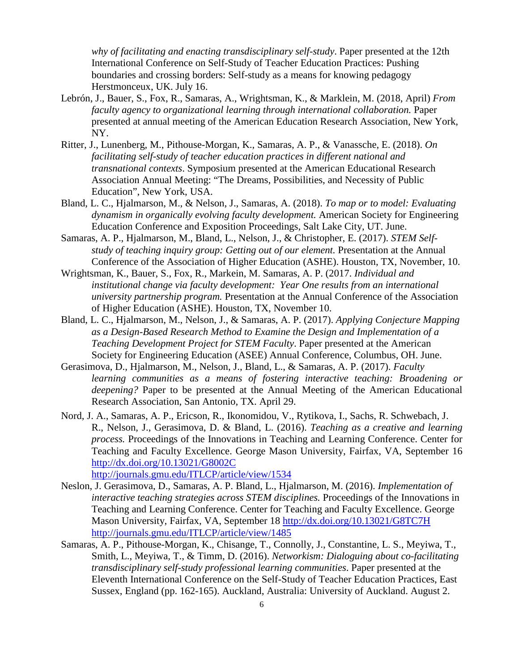*why of facilitating and enacting transdisciplinary self-study*. Paper presented at the 12th International Conference on Self-Study of Teacher Education Practices: Pushing boundaries and crossing borders: Self-study as a means for knowing pedagogy Herstmonceux, UK. July 16.

- Lebrón, J., Bauer, S., Fox, R., Samaras, A., Wrightsman, K., & Marklein, M. (2018, April) *From faculty agency to organizational learning through international collaboration.* Paper presented at annual meeting of the American Education Research Association, New York, NY.
- Ritter, J., Lunenberg, M., Pithouse-Morgan, K., Samaras, A. P., & Vanassche, E. (2018). *On facilitating self-study of teacher education practices in different national and transnational contexts*. Symposium presented at the American Educational Research Association Annual Meeting: "The Dreams, Possibilities, and Necessity of Public Education", New York, USA.
- Bland, L. C., Hjalmarson, M., & Nelson, J., Samaras, A. (2018). *To map or to model: Evaluating dynamism in organically evolving faculty development.* American Society for Engineering Education Conference and Exposition Proceedings, Salt Lake City, UT. June.
- Samaras, A. P., Hjalmarson, M., Bland, L., Nelson, J., & Christopher, E. (2017). *STEM Selfstudy of teaching inquiry group: Getting out of our element.* Presentation at the Annual Conference of the Association of Higher Education (ASHE). Houston, TX, November, 10.
- Wrightsman, K., Bauer, S., Fox, R., Markein, M. Samaras, A. P. (2017. *Individual and institutional change via faculty development: Year One results from an international university partnership program.* Presentation at the Annual Conference of the Association of Higher Education (ASHE). Houston, TX, November 10.
- Bland, L. C., Hjalmarson, M., Nelson, J., & Samaras, A. P. (2017). *Applying Conjecture Mapping as a Design-Based Research Method to Examine the Design and Implementation of a Teaching Development Project for STEM Faculty*. Paper presented at the American Society for Engineering Education (ASEE) Annual Conference, Columbus, OH. June.
- Gerasimova, D., Hjalmarson, M., Nelson, J., Bland, L., & Samaras, A. P. (2017). *Faculty learning communities as a means of fostering interactive teaching: Broadening or deepening?* Paper to be presented at the Annual Meeting of the American Educational Research Association, San Antonio, TX. April 29.
- Nord, J. A., Samaras, A. P., Ericson, R., Ikonomidou, V., Rytikova, I., Sachs, R. Schwebach, J. R., Nelson, J., Gerasimova, D. & Bland, L. (2016). *Teaching as a creative and learning process.* Proceedings of the Innovations in Teaching and Learning Conference. Center for Teaching and Faculty Excellence. George Mason University, Fairfax, VA, September 16 <http://dx.doi.org/10.13021/G8002C> <http://journals.gmu.edu/ITLCP/article/view/1534>

Neslon, J. Gerasimova, D., Samaras, A. P. Bland, L., Hjalmarson, M. (2016). *Implementation of* 

- *interactive teaching strategies across STEM disciplines.* Proceedings of the Innovations in Teaching and Learning Conference. Center for Teaching and Faculty Excellence. George Mason University, Fairfax, VA, September 18<http://dx.doi.org/10.13021/G8TC7H> <http://journals.gmu.edu/ITLCP/article/view/1485>
- Samaras, A. P., Pithouse-Morgan, K., Chisange, T., Connolly, J., Constantine, L. S., Meyiwa, T., Smith, L., Meyiwa, T., & Timm, D. (2016). *Networkism: Dialoguing about co-facilitating transdisciplinary self-study professional learning communities*. Paper presented at the Eleventh International Conference on the Self-Study of Teacher Education Practices, East Sussex, England (pp. 162-165). Auckland, Australia: University of Auckland. August 2.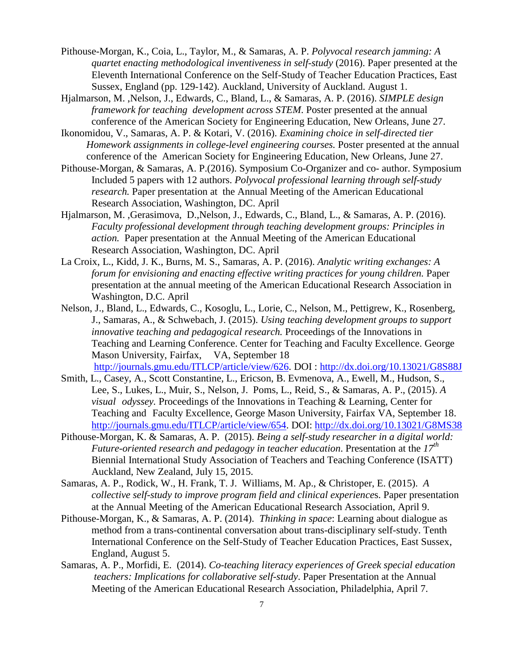- Pithouse-Morgan, K., Coia, L., Taylor, M., & Samaras, A. P. *Polyvocal research jamming: A quartet enacting methodological inventiveness in self-study* (2016). Paper presented at the Eleventh International Conference on the Self-Study of Teacher Education Practices, East Sussex, England (pp. 129-142). Auckland, University of Auckland. August 1.
- Hjalmarson, M. ,Nelson, J., Edwards, C., Bland, L., & Samaras, A. P. (2016). *SIMPLE design framework for teaching development across STEM*. Poster presented at the annual conference of the American Society for Engineering Education, New Orleans, June 27.
- Ikonomidou, V., Samaras, A. P. & Kotari, V. (2016). *Examining choice in self-directed tier Homework assignments in college-level engineering courses.* Poster presented at the annual conference of the American Society for Engineering Education, New Orleans, June 27.
- Pithouse-Morgan, & Samaras, A. P.(2016). Symposium Co-Organizer and co- author. Symposium Included 5 papers with 12 authors. *Polyvocal professional learning through self-study research.* Paper presentation at the Annual Meeting of the American Educational Research Association, Washington, DC. April
- Hjalmarson, M. ,Gerasimova, D.,Nelson, J., Edwards, C., Bland, L., & Samaras, A. P. (2016). *Faculty professional development through teaching development groups: Principles in action.* Paper presentation at the Annual Meeting of the American Educational Research Association, Washington, DC. April
- La Croix, L., Kidd, J. K., Burns, M. S., Samaras, A. P. (2016). *Analytic writing exchanges: A forum for envisioning and enacting effective writing practices for young children.* Paper presentation at the annual meeting of the American Educational Research Association in Washington, D.C. April
- Nelson, J., Bland, L., Edwards, C., Kosoglu, L., Lorie, C., Nelson, M., Pettigrew, K., Rosenberg, J., Samaras, A., & Schwebach, J. (2015). *Using teaching development groups to support innovative teaching and pedagogical research.* Proceedings of the Innovations in Teaching and Learning Conference. Center for Teaching and Faculty Excellence. George Mason University, Fairfax, VA, September 18 [http://journals.gmu.edu/ITLCP/article/view/626.](http://journals.gmu.edu/ITLCP/article/view/626) DOI : <http://dx.doi.org/10.13021/G8S88J>
- Smith, L., Casey, A., Scott Constantine, L., Ericson, B. Evmenova, A., Ewell, M., Hudson, S., Lee, S., Lukes, L., Muir, S., Nelson, J. Poms, L., Reid, S., & Samaras, A. P., (2015). *A visual odyssey.* Proceedings of the Innovations in Teaching & Learning, Center for Teaching and Faculty Excellence, George Mason University, Fairfax VA, September 18. [http://journals.gmu.edu/ITLCP/article/view/654.](http://journals.gmu.edu/ITLCP/article/view/654) DOI: <http://dx.doi.org/10.13021/G8MS38>
- Pithouse-Morgan, K. & Samaras, A. P. (2015). *Being a self-study researcher in a digital world: Future-oriented research and pedagogy in teacher education*. Presentation at the *17th* Biennial International Study Association of Teachers and Teaching Conference (ISATT) Auckland, New Zealand, July 15, 2015.
- Samaras, A. P., Rodick, W., H. Frank, T. J. Williams, M. Ap., & Christoper, E. (2015). *A collective self-study to improve program field and clinical experience*s. Paper presentation at the Annual Meeting of the American Educational Research Association, April 9.
- Pithouse-Morgan, K., & Samaras, A. P. (2014). *Thinking in space*: Learning about dialogue as method from a trans-continental conversation about trans-disciplinary self-study. Tenth International Conference on the Self-Study of Teacher Education Practices, East Sussex, England, August 5.
- Samaras, A. P., Morfidi, E. (2014). *Co-teaching literacy experiences of Greek special education teachers: Implications for collaborative self-study*. Paper Presentation at the Annual Meeting of the American Educational Research Association, Philadelphia, April 7.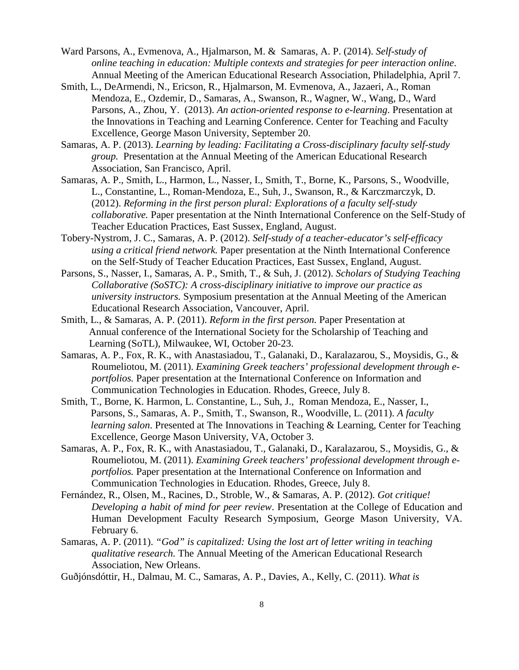- Ward Parsons, A., Evmenova, A., Hjalmarson, M. & Samaras, A. P. (2014). *Self-study of online teaching in education: Multiple contexts and strategies for peer interaction online*. Annual Meeting of the American Educational Research Association, Philadelphia, April 7.
- Smith, L., DeArmendi, N., Ericson, R., Hjalmarson, M. Evmenova, A., Jazaeri, A., Roman Mendoza, E., Ozdemir, D., Samaras, A., Swanson, R., Wagner, W., Wang, D., Ward Parsons, A., Zhou, Y. (2013). *An action-oriented response to e-learning*. Presentation at the Innovations in Teaching and Learning Conference. Center for Teaching and Faculty Excellence, George Mason University, September 20.
- Samaras, A. P. (2013). *Learning by leading: Facilitating a Cross-disciplinary faculty self-study group.* Presentation at the Annual Meeting of the American Educational Research Association, San Francisco, April.
- Samaras, A. P., Smith, L., Harmon, L., Nasser, I., Smith, T., Borne, K., Parsons, S., Woodville, L., Constantine, L., Roman-Mendoza, E., Suh, J., Swanson, R., & Karczmarczyk, D. (2012). *Reforming in the first person plural: Explorations of a faculty self-study collaborative.* Paper presentation at the Ninth International Conference on the Self-Study of Teacher Education Practices, East Sussex, England, August.
- Tobery-Nystrom, J. C., Samaras, A. P. (2012). *Self-study of a teacher-educator's self-efficacy using a critical friend network.* Paper presentation at the Ninth International Conference on the Self-Study of Teacher Education Practices, East Sussex, England, August.
- Parsons, S., Nasser, I., Samaras, A. P., Smith, T., & Suh, J. (2012). *Scholars of Studying Teaching Collaborative (SoSTC): A cross-disciplinary initiative to improve our practice as university instructors.* Symposium presentation at the Annual Meeting of the American Educational Research Association, Vancouver, April.
- Smith, L., & Samaras, A. P. (2011). *Reform in the first person.* Paper Presentation at Annual conference of the International Society for the Scholarship of Teaching and Learning (SoTL), Milwaukee, WI, October 20-23.
- Samaras, A. P., Fox, R. K., with Anastasiadou, T., Galanaki, D., Karalazarou, S., Moysidis, G., & Roumeliotou, M. (2011). *Examining Greek teachers' professional development through eportfolios.* Paper presentation at the International Conference on Information and Communication Technologies in Education. Rhodes, Greece, July 8.
- Smith, T., Borne, K. Harmon, L. Constantine, L., Suh, J., Roman Mendoza, E., Nasser, I., Parsons, S., Samaras, A. P., Smith, T., Swanson, R., Woodville, L. (2011). *A faculty learning salon*. Presented at The Innovations in Teaching & Learning, Center for Teaching Excellence, George Mason University, VA, October 3.
- Samaras, A. P., Fox, R. K., with Anastasiadou, T., Galanaki, D., Karalazarou, S., Moysidis, G., & Roumeliotou, M. (2011). *Examining Greek teachers' professional development through eportfolios.* Paper presentation at the International Conference on Information and Communication Technologies in Education. Rhodes, Greece, July 8.
- Fernández, R., Olsen, M., Racines, D., Stroble, W., & Samaras, A. P. (2012). *Got critique! Developing a habit of mind for peer review*. Presentation at the College of Education and Human Development Faculty Research Symposium, George Mason University, VA. February 6.
- Samaras, A. P. (2011). *"God" is capitalized: Using the lost art of letter writing in teaching qualitative research.* The Annual Meeting of the American Educational Research Association, New Orleans.
- Guðjónsdóttir, H., Dalmau, M. C., Samaras, A. P., Davies, A., Kelly, C. (2011). *What is*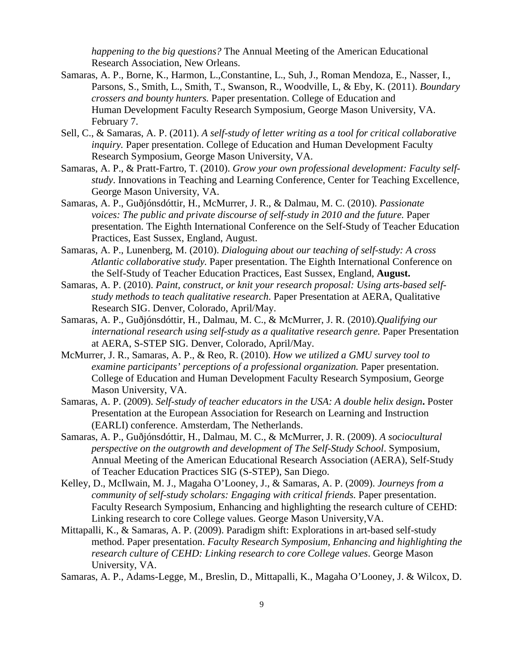*happening to the big questions?* The Annual Meeting of the American Educational Research Association, New Orleans.

- Samaras, A. P., Borne, K., Harmon, L.,Constantine, L., Suh, J., Roman Mendoza, E., Nasser, I., Parsons, S., Smith, L., Smith, T., Swanson, R., Woodville, L, & Eby, K. (2011). *Boundary crossers and bounty hunters.* Paper presentation. College of Education and Human Development Faculty Research Symposium, George Mason University, VA. February 7.
- Sell, C., & Samaras, A. P. (2011). *A self-study of letter writing as a tool for critical collaborative inquiry.* Paper presentation. College of Education and Human Development Faculty Research Symposium, George Mason University, VA.
- Samaras, A. P., & Pratt-Fartro, T. (2010). *Grow your own professional development: Faculty selfstudy*. Innovations in Teaching and Learning Conference, Center for Teaching Excellence, George Mason University, VA.
- Samaras, A. P., Guðjónsdóttir, H., McMurrer, J. R., & Dalmau, M. C. (2010). *Passionate voices: The public and private discourse of self-study in 2010 and the future.* Paper presentation. The Eighth International Conference on the Self-Study of Teacher Education Practices, East Sussex, England, August.
- Samaras, A. P., Lunenberg, M. (2010). *Dialoguing about our teaching of self-study: A cross Atlantic collaborative study.* Paper presentation. The Eighth International Conference on the Self-Study of Teacher Education Practices, East Sussex, England, **August.**
- Samaras, A. P. (2010). *Paint, construct, or knit your research proposal: Using arts-based selfstudy methods to teach qualitative research*. Paper Presentation at AERA, Qualitative Research SIG. Denver, Colorado, April/May.
- Samaras, A. P., Guðjónsdóttir, H., Dalmau, M. C., & McMurrer, J. R. (2010).*Qualifying our international research using self-study as a qualitative research genre.* Paper Presentation at AERA, S-STEP SIG. Denver, Colorado, April/May.
- McMurrer, J. R., Samaras, A. P., & Reo, R. (2010). *How we utilized a GMU survey tool to examine participants' perceptions of a professional organization.* Paper presentation. College of Education and Human Development Faculty Research Symposium, George Mason University, VA.
- Samaras, A. P. (2009). *Self-study of teacher educators in the USA: A double helix design***.** Poster Presentation at the European Association for Research on Learning and Instruction (EARLI) conference. Amsterdam, The Netherlands.
- Samaras, A. P., Guðjónsdóttir, H., Dalmau, M. C., & McMurrer, J. R. (2009). *A sociocultural perspective on the outgrowth and development of The Self-Study School*. Symposium, Annual Meeting of the American Educational Research Association (AERA), Self-Study of Teacher Education Practices SIG (S-STEP), San Diego.
- Kelley, D., McIlwain, M. J., Magaha O'Looney, J., & Samaras, A. P. (2009). *Journeys from a community of self-study scholars: Engaging with critical friends.* Paper presentation. Faculty Research Symposium, Enhancing and highlighting the research culture of CEHD: Linking research to core College values. George Mason University,VA.
- Mittapalli, K., & Samaras, A. P. (2009). Paradigm shift: Explorations in art-based self-study method. Paper presentation. *Faculty Research Symposium, Enhancing and highlighting the research culture of CEHD: Linking research to core College values*. George Mason University, VA.

Samaras, A. P., Adams-Legge, M., Breslin, D., Mittapalli, K., Magaha O'Looney, J. & Wilcox, D.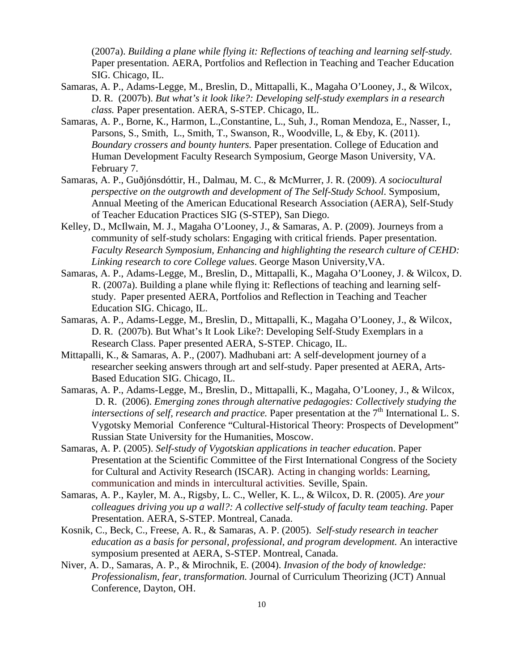(2007a). *Building a plane while flying it: Reflections of teaching and learning self-study.*  Paper presentation. AERA, Portfolios and Reflection in Teaching and Teacher Education SIG. Chicago, IL.

- Samaras, A. P., Adams-Legge, M., Breslin, D., Mittapalli, K., Magaha O'Looney, J., & Wilcox, D. R.(2007b). *But what's it look like?: Developing self-study exemplars in a research class.* Paper presentation. AERA, S-STEP. Chicago, IL.
- Samaras, A. P., Borne, K., Harmon, L.,Constantine, L., Suh, J., Roman Mendoza, E., Nasser, I., Parsons, S., Smith, L., Smith, T., Swanson, R., Woodville, L, & Eby, K. (2011). *Boundary crossers and bounty hunters.* Paper presentation. College of Education and Human Development Faculty Research Symposium, George Mason University, VA. February 7.
- Samaras, A. P., Guðjónsdóttir, H., Dalmau, M. C., & McMurrer, J. R. (2009). *A sociocultural perspective on the outgrowth and development of The Self-Study School*. Symposium, Annual Meeting of the American Educational Research Association (AERA), Self-Study of Teacher Education Practices SIG (S-STEP), San Diego.
- Kelley, D., McIlwain, M. J., Magaha O'Looney, J., & Samaras, A. P. (2009). Journeys from a community of self-study scholars: Engaging with critical friends. Paper presentation. *Faculty Research Symposium, Enhancing and highlighting the research culture of CEHD: Linking research to core College values*. George Mason University,VA.
- Samaras, A. P., Adams-Legge, M., Breslin, D., Mittapalli, K., Magaha O'Looney, J. & Wilcox, D. R. (2007a). Building a plane while flying it: Reflections of teaching and learning selfstudy. Paper presented AERA, Portfolios and Reflection in Teaching and Teacher Education SIG. Chicago, IL.
- Samaras, A. P., Adams-Legge, M., Breslin, D., Mittapalli, K., Magaha O'Looney, J., & Wilcox, D. R. (2007b). But What's It Look Like?: Developing Self-Study Exemplars in a Research Class. Paper presented AERA, S-STEP. Chicago, IL.
- Mittapalli, K., & Samaras, A. P., (2007). Madhubani art: A self-development journey of a researcher seeking answers through art and self-study. Paper presented at AERA, Arts-Based Education SIG. Chicago, IL.
- Samaras, A. P., Adams-Legge, M., Breslin, D., Mittapalli, K., Magaha, O'Looney, J., & Wilcox, D. R.(2006). *Emerging zones through alternative pedagogies: Collectively studying the intersections of self, research and practice.* Paper presentation at the 7<sup>th</sup> International L. S. Vygotsky Memorial Conference "Cultural-Historical Theory: Prospects of Development" Russian State University for the Humanities, Moscow.
- Samaras, A. P. (2005). *Self-study of Vygotskian applications in teacher educatio*n. Paper Presentation at the Scientific Committee of the First International Congress of the Society for Cultural and Activity Research (ISCAR). Acting in changing worlds: Learning, communication and minds in intercultural activities. Seville, Spain.
- Samaras, A. P., Kayler, M. A., Rigsby, L. C., Weller, K. L., & Wilcox, D. R. (2005). *Are your colleagues driving you up a wall?: A collective self-study of faculty team teaching*. Paper Presentation. AERA, S-STEP. Montreal, Canada.
- Kosnik, C., Beck, C., Freese, A. R., & Samaras, A. P. (2005). *Self-study research in teacher education as a basis for personal, professional, and program development.* An interactive symposium presented at AERA, S-STEP. Montreal, Canada.
- Niver, A. D., Samaras, A. P., & Mirochnik, E. (2004). *Invasion of the body of knowledge: Professionalism, fear, transformation.* Journal of Curriculum Theorizing (JCT) Annual Conference, Dayton, OH.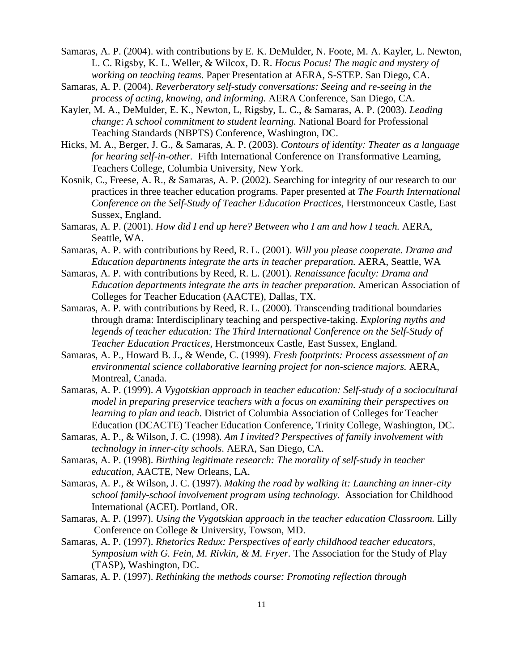Samaras, A. P. (2004). with contributions by E. K. DeMulder, N. Foote, M. A. Kayler, L. Newton, L. C. Rigsby, K. L. Weller, & Wilcox, D. R. *Hocus Pocus! The magic and mystery of working on teaching teams.* Paper Presentation at AERA, S-STEP. San Diego, CA.

Samaras, A. P. (2004). *Reverberatory self-study conversations: Seeing and re-seeing in the process of acting, knowing, and informing.* AERA Conference, San Diego, CA.

Kayler, M. A., DeMulder, E. K., Newton, L, Rigsby, L. C., & Samaras, A. P. (2003). *Leading change: A school commitment to student learning.* National Board for Professional Teaching Standards (NBPTS) Conference, Washington, DC.

Hicks, M. A., Berger, J. G., & Samaras, A. P. (2003). *Contours of identity: Theater as a language for hearing self-in-other.* Fifth International Conference on Transformative Learning, Teachers College, Columbia University, New York.

Kosnik, C., Freese, A. R., & Samaras, A. P. (2002). Searching for integrity of our research to our practices in three teacher education programs*.* Paper presented at *The Fourth International Conference on the Self-Study of Teacher Education Practices,* Herstmonceux Castle, East Sussex, England.

Samaras, A. P. (2001). *How did I end up here? Between who I am and how I teach.* AERA, Seattle, WA.

Samaras, A. P. with contributions by Reed, R. L. (2001). *Will you please cooperate. Drama and Education departments integrate the arts in teacher preparation.* AERA, Seattle, WA

Samaras, A. P. with contributions by Reed, R. L. (2001). *Renaissance faculty: Drama and Education departments integrate the arts in teacher preparation.* American Association of Colleges for Teacher Education (AACTE), Dallas, TX.

Samaras, A. P. with contributions by Reed, R. L. (2000). Transcending traditional boundaries through drama: Interdisciplinary teaching and perspective-taking. *Exploring myths and*  legends of teacher education: The Third International Conference on the Self-Study of *Teacher Education Practices*, Herstmonceux Castle, East Sussex, England.

Samaras, A. P., Howard B. J., & Wende, C. (1999). *Fresh footprints: Process assessment of an environmental science collaborative learning project for non-science majors.* AERA, Montreal, Canada.

Samaras, A. P. (1999). *A Vygotskian approach in teacher education: Self-study of a sociocultural model in preparing preservice teachers with a focus on examining their perspectives on learning to plan and teach*. District of Columbia Association of Colleges for Teacher Education (DCACTE) Teacher Education Conference, Trinity College, Washington, DC.

Samaras, A. P., & Wilson, J. C. (1998). *Am I invited? Perspectives of family involvement with technology in inner-city schools*. AERA, San Diego, CA.

Samaras, A. P. (1998). *Birthing legitimate research: The morality of self-study in teacher education*, AACTE, New Orleans, LA.

Samaras, A. P., & Wilson, J. C. (1997). *Making the road by walking it: Launching an inner-city school family-school involvement program using technology.* Association for Childhood International (ACEI). Portland, OR.

Samaras, A. P. (1997). *Using the Vygotskian approach in the teacher education Classroom.* Lilly Conference on College & University, Towson, MD.

Samaras, A. P. (1997). *Rhetorics Redux: Perspectives of early childhood teacher educators, Symposium with G. Fein, M. Rivkin, & M. Fryer.* The Association for the Study of Play (TASP), Washington, DC.

Samaras, A. P. (1997). *Rethinking the methods course: Promoting reflection through*